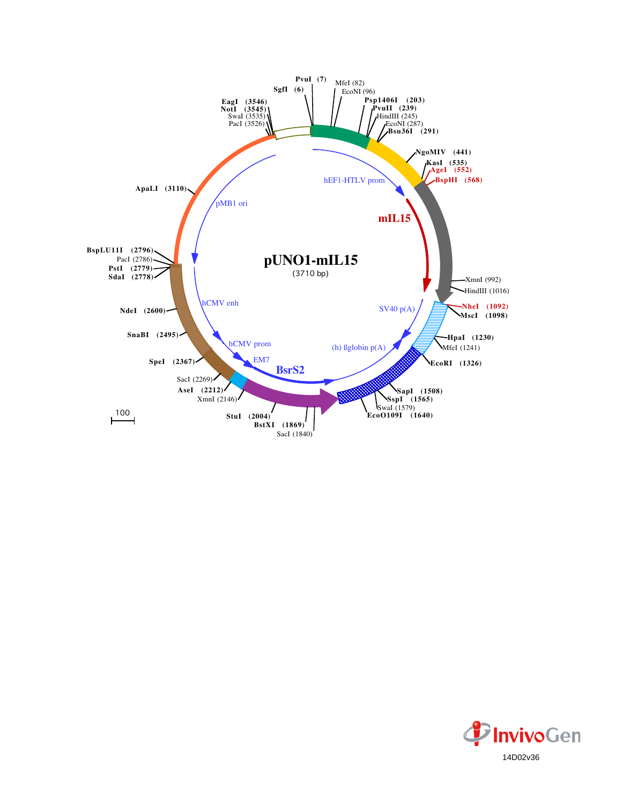

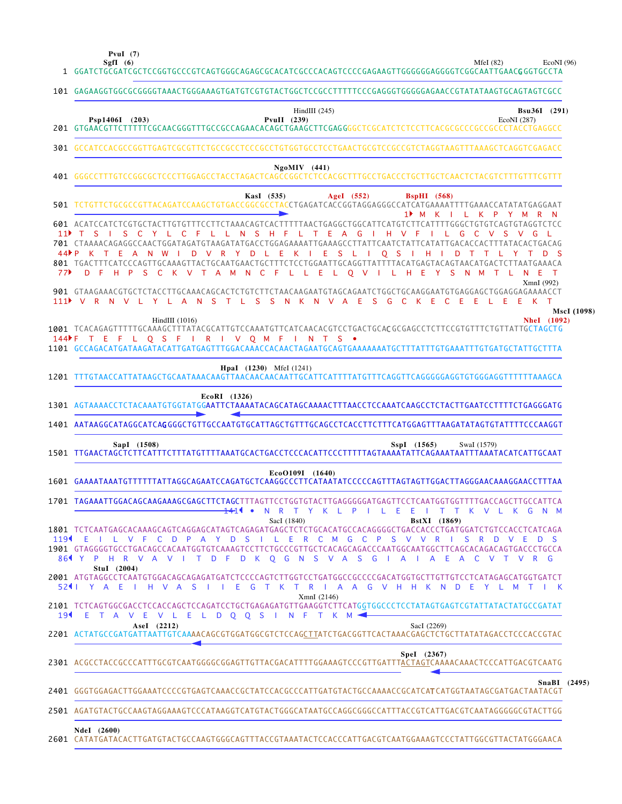**PvuI (7)**

MfeI (82) EcoNI (96)

| 1 GGATCTGCGATCGCTCCGGTGCCCGTCAGTGGGCAGAGCGCACATCGCCCACAGTCCCCGAGAAGTTGGGGGGAGGGGTCGGCAATTGAACGGGTGCCTA                                                                                                                                                                                                                                                                                                                                                                                                                                                                                                                         |                                                |  |  |  |
|--------------------------------------------------------------------------------------------------------------------------------------------------------------------------------------------------------------------------------------------------------------------------------------------------------------------------------------------------------------------------------------------------------------------------------------------------------------------------------------------------------------------------------------------------------------------------------------------------------------------------------|------------------------------------------------|--|--|--|
| 101 GAGAAGGTGGCGCGGGGTAAACTGGGAAAGTGATGTCGTGTACTGGCTCCGCCTTTTTCCCGAGGGTGGGGGAACCGTATATAAGTGCAGTAGTCGCC                                                                                                                                                                                                                                                                                                                                                                                                                                                                                                                         |                                                |  |  |  |
| HindIII $(245)$<br><b>Bsu36I</b> (291)<br>PvuII $(239)$<br>EcoNI (287)                                                                                                                                                                                                                                                                                                                                                                                                                                                                                                                                                         |                                                |  |  |  |
| 301 GCCATCCACGCCGGTTGAGTCGCGTTCTGCCGCCTCCCGCCTGTGGTGCCTCCTGAACTGCGTCCGCCGTCTAGGTAAGTTTAAAGCTCAGGTCGAGACC                                                                                                                                                                                                                                                                                                                                                                                                                                                                                                                       |                                                |  |  |  |
| $Ng o MIV$ (441)<br>401 GGGCCTTTGTCCGGCGCTCCCTTGGAGCCTACCTAGACTCAGCCGGCTCTCCACGCTTTGCCTGACCCTGCTCCAACTCTACGTCTTTGTTTCGTTT                                                                                                                                                                                                                                                                                                                                                                                                                                                                                                      |                                                |  |  |  |
| AgeI (552)<br>KasI (535)<br>$BspHI$ (568)<br>501 TCTGTTCTGCGCCGTTACAGATCCAAGCTGTGACCGGCGCCTACCTGAGATCACCGGTAGGAGGGCCATCATGAAAATTTTGAAACCATATATGAGGAAT<br>1▶ M K I<br>$-$ K<br>L.<br>$\mathsf{P}$<br>Y M<br><b>N</b>                                                                                                                                                                                                                                                                                                                                                                                                            |                                                |  |  |  |
| 601 ACATCCATCTCGTGCTACTTGTGTTTCCTTCTAAACAGTCACTTTTTAACTGAGGCTGGCATTCATGTCTTCATTTTGGGCTGTGTCAGTGTAGGTCTCC<br>N S H F L T E A<br>G<br>IHVF<br>G<br>C V S V G L<br>701 CTAAAACAGAGGCCAACTGGATAGATGTAAGATATGACCTGGAGAAAATTGAAAGCCTTATTCAATCTATTCATATTGACACCACTTTATACACTGACAG<br>- E<br>Ε<br>S L<br>Q S<br>- K<br>H<br>- S<br>$\mathbf{I}$<br>$\mathbf{1}$<br>$\mathbf{I}$<br>D<br>$\top$<br>$\top$<br>-1<br>801 TGACTTTCATCCCAGTTGCAAAGTTACTGCAATGAACTGCTTTCTCCTGGAATTGCAGGTTATTTTACATGAGTACAGTAACATGACTCTTAATGAAACA<br>L L E L O V I<br>LHE<br>- S<br><b>N</b><br>- E<br>$\top$<br>- F<br><b>Y</b><br>N M<br>$\top$<br>XmnI (992) | 11 $\blacktriangleright$ T S I<br>44P P<br>77▶ |  |  |  |
| 901 GTAAGAAACGTGCTCTACCTTGCAAACAGCACTCTGTCTTCTAACAAGAATGTAGCAGAATCTGGCTGCAAGGAATGTGAGGAGCTGGAGGAGAAAACCT<br>111 V R N V L Y L A N S T L S S N K N V A E S<br>G C<br>K.<br>E.<br>$C$ $E$<br>E.<br>E.<br>E K T<br><b>L</b><br>MscI (1098)                                                                                                                                                                                                                                                                                                                                                                                        |                                                |  |  |  |
| Nhe <sub>I</sub> (1092)<br>1001 TCACAGAGTTTTTGCAAAGCTTTATACGCATTGTCCAAATGTTCATCAACACGTCCTGACTGCACGCGAGCCTCTTCCGTGTTTCTGTTATTGCTAGCTG<br>TEFLQSFIRIVQMFINTS •<br>1101 GCCAGACATGATAAGATACATTGATGAGTTTGGACAAACCACAACTAGAATGCAGTGAAAAAAATGCTTTATTTGTGAAATTTGTGATGCTATTGCTTTA                                                                                                                                                                                                                                                                                                                                                      | $144 \text{ F}$                                |  |  |  |
| <b>HpaI</b> (1230) MfeI (1241)<br>1201                                                                                                                                                                                                                                                                                                                                                                                                                                                                                                                                                                                         |                                                |  |  |  |
| 1301 AGTAAAACCTCTACAAATGTGGTATGGAATTCTAAAATACAGCATAGCAAAACTTTAACCTCCAAATCAAGCCTCTACTTGAATCCTTTTCTGAGGGATG                                                                                                                                                                                                                                                                                                                                                                                                                                                                                                                      |                                                |  |  |  |
| 1401 AATAAGGCATAGGCATCAGGGGCTGTTGCCAATGTGCATTAGCTGTTTGCAGCCTCACCTTCTTTCATGGAGTTTAAGATATAGTGTATTTTCCCAAGGT                                                                                                                                                                                                                                                                                                                                                                                                                                                                                                                      |                                                |  |  |  |
| SspI (1565)<br>SwaI (1579)<br>1501 TTGAACTAGCTCTTCATTTCTTTATGTTTTAAATGCACTGACCTCCCACATTCCCTTTTTAGTAAAATATTCAGAAATAATTTAAATACATCATTGCAAT                                                                                                                                                                                                                                                                                                                                                                                                                                                                                        |                                                |  |  |  |
| EcoO109I (1640)<br>1601 GAAAATAAATGTTTTTTTATTAGGCAGAATCCAGATGCTCAAGGCCCTTCATAATATCCCCCAGTTTAGTAGTTGGACTTAGGGAACAAAGGAACCTTTAA                                                                                                                                                                                                                                                                                                                                                                                                                                                                                                  |                                                |  |  |  |
| 1701 TAGAAATTGGACAGCAAGAAAGCGAGCTTCTAGCTTTAGTTCCTGGTGTACTTGAGGGGGATGAGTTCCTCAATGGTGGTTTTGACCAGCTTGCCATTCA<br>R<br>Y K L P<br>ILEE<br>V L K G N M<br>- N<br>$\top$<br>$\blacksquare$<br>T<br>K                                                                                                                                                                                                                                                                                                                                                                                                                                  |                                                |  |  |  |
| SacI (1840)<br><b>BstXI</b> (1869)<br>1801 TCTCAATGAGCACAAAGCAGTCAGGAGCATAGTCAGAGATGAGCTCTCTGCACATGCCACAGGGGCTGACCACCCTGATGGATCTGTCCACCTCATCAGA<br>E.<br>R C M G C P<br><b>S</b><br>R<br>S<br>D S<br>$\mathbf{L}$<br>V V<br>D<br>V E<br>$O$ $G$<br>N.<br>S.<br>V A<br>S.<br>G<br>E<br>C<br>V<br>$\top$<br>VR G<br>A<br>A<br>A                                                                                                                                                                                                                                                                                                  | 119 <sup>4</sup><br>864 Y P                    |  |  |  |
| 2001 ATGTAGGCCTCAATGTGGACAGCAGAGATGATCTCCCCAGTCTTGGTCCTGATGGCCCCCCGACATGGTGCTTGTTGTCCTCATAGAGCATGGTGATCT<br>T K T<br>R<br>I A A G V H H K N D E<br>YLMTIK                                                                                                                                                                                                                                                                                                                                                                                                                                                                      | 521   Y A E                                    |  |  |  |
| XmnI(2146)<br>2101 TCTCAGTGGCGACCTCCACCAGCTCCAGATCCTGCTGAGAGATGTTGAAGGTCTTCATGGTGGCCCTCCTATAGTGAGTCGTATTATACTATGCCGATAT<br>V L E L D O O S I<br>N F T K M                                                                                                                                                                                                                                                                                                                                                                                                                                                                      |                                                |  |  |  |
| SacI (2269)<br>2201 ACTATGCCGATGATTAATTGTCAAAACAGCGTGGATGGCGTCTCCAGCTTATCTGACGGTTCACTAAACGAGCTCTGCTTATATAGACCTCCCACCGTAC                                                                                                                                                                                                                                                                                                                                                                                                                                                                                                       |                                                |  |  |  |
| Spel (2367)                                                                                                                                                                                                                                                                                                                                                                                                                                                                                                                                                                                                                    |                                                |  |  |  |
| SnaBI (2495)<br>2401 GGGTGGAGACTTGGAAATCCCCGTGAGTCAAACCGCTATCCACGCCCATTGATGTACTGCCAAAACCGCATCATCATCATGGTAATAGCGATGACTAATACGT                                                                                                                                                                                                                                                                                                                                                                                                                                                                                                   |                                                |  |  |  |
|                                                                                                                                                                                                                                                                                                                                                                                                                                                                                                                                                                                                                                |                                                |  |  |  |